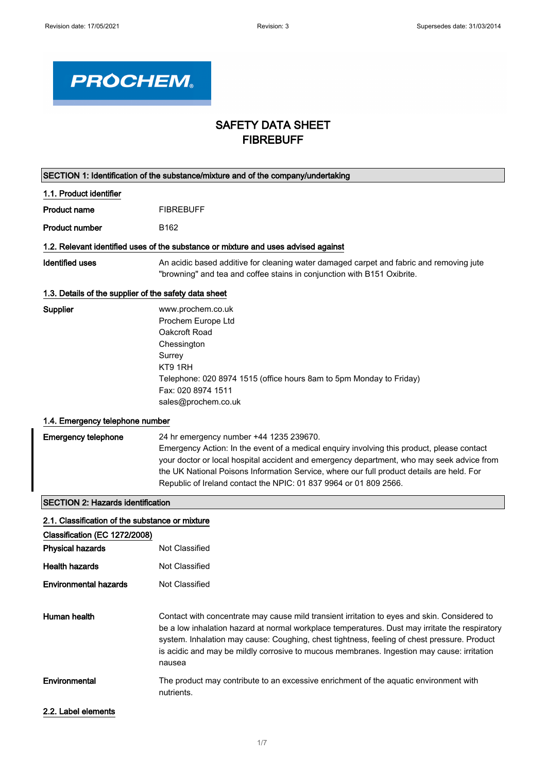

## SAFETY DATA SHEET FIBREBUFF

|                                                       | SECTION 1: Identification of the substance/mixture and of the company/undertaking                                                                                                                                                                                                                                                                                                                     |
|-------------------------------------------------------|-------------------------------------------------------------------------------------------------------------------------------------------------------------------------------------------------------------------------------------------------------------------------------------------------------------------------------------------------------------------------------------------------------|
| 1.1. Product identifier                               |                                                                                                                                                                                                                                                                                                                                                                                                       |
| <b>Product name</b>                                   | <b>FIBREBUFF</b>                                                                                                                                                                                                                                                                                                                                                                                      |
| <b>Product number</b>                                 | B <sub>162</sub>                                                                                                                                                                                                                                                                                                                                                                                      |
|                                                       | 1.2. Relevant identified uses of the substance or mixture and uses advised against                                                                                                                                                                                                                                                                                                                    |
| <b>Identified uses</b>                                | An acidic based additive for cleaning water damaged carpet and fabric and removing jute<br>"browning" and tea and coffee stains in conjunction with B151 Oxibrite.                                                                                                                                                                                                                                    |
| 1.3. Details of the supplier of the safety data sheet |                                                                                                                                                                                                                                                                                                                                                                                                       |
| Supplier                                              | www.prochem.co.uk<br>Prochem Europe Ltd<br>Oakcroft Road<br>Chessington<br>Surrey<br>KT9 1RH<br>Telephone: 020 8974 1515 (office hours 8am to 5pm Monday to Friday)<br>Fax: 020 8974 1511<br>sales@prochem.co.uk                                                                                                                                                                                      |
| 1.4. Emergency telephone number                       |                                                                                                                                                                                                                                                                                                                                                                                                       |
| <b>Emergency telephone</b>                            | 24 hr emergency number +44 1235 239670.<br>Emergency Action: In the event of a medical enquiry involving this product, please contact<br>your doctor or local hospital accident and emergency department, who may seek advice from<br>the UK National Poisons Information Service, where our full product details are held. For<br>Republic of Ireland contact the NPIC: 01 837 9964 or 01 809 2566.  |
| <b>SECTION 2: Hazards identification</b>              |                                                                                                                                                                                                                                                                                                                                                                                                       |
| 2.1. Classification of the substance or mixture       |                                                                                                                                                                                                                                                                                                                                                                                                       |
| Classification (EC 1272/2008)                         |                                                                                                                                                                                                                                                                                                                                                                                                       |
| <b>Physical hazards</b>                               | Not Classified                                                                                                                                                                                                                                                                                                                                                                                        |
| <b>Health hazards</b>                                 | <b>Not Classified</b>                                                                                                                                                                                                                                                                                                                                                                                 |
| <b>Environmental hazards</b>                          | Not Classified                                                                                                                                                                                                                                                                                                                                                                                        |
| Human health                                          | Contact with concentrate may cause mild transient irritation to eyes and skin. Considered to<br>be a low inhalation hazard at normal workplace temperatures. Dust may irritate the respiratory<br>system. Inhalation may cause: Coughing, chest tightness, feeling of chest pressure. Product<br>is acidic and may be mildly corrosive to mucous membranes. Ingestion may cause: irritation<br>nausea |
| Environmental                                         | The product may contribute to an excessive enrichment of the aquatic environment with<br>nutrients.                                                                                                                                                                                                                                                                                                   |
| 2.2. Label elements                                   |                                                                                                                                                                                                                                                                                                                                                                                                       |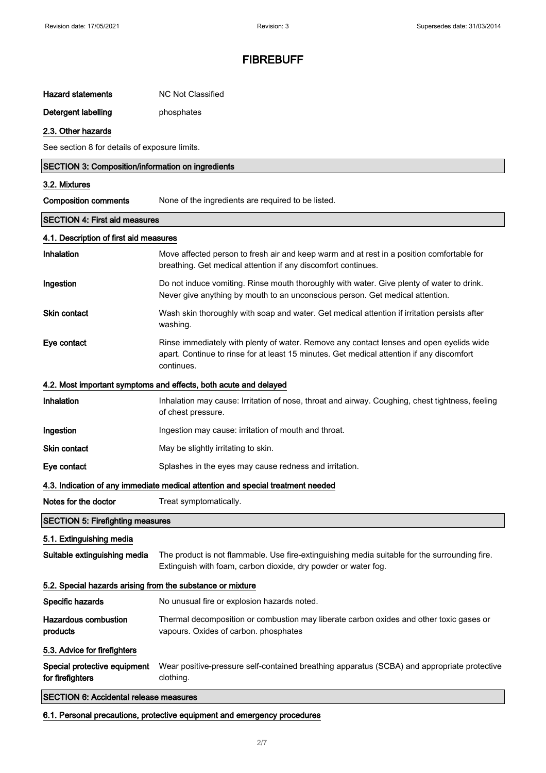| Hazard statements | NC Not Classified |
|-------------------|-------------------|
|                   |                   |

### Detergent labelling **phosphates**

## 2.3. Other hazards

See section 8 for details of exposure limits.

| SECTION 3: Composition/information on ingredients          |                                                                                                                                                                                                    |  |
|------------------------------------------------------------|----------------------------------------------------------------------------------------------------------------------------------------------------------------------------------------------------|--|
| 3.2. Mixtures                                              |                                                                                                                                                                                                    |  |
| <b>Composition comments</b>                                | None of the ingredients are required to be listed.                                                                                                                                                 |  |
| <b>SECTION 4: First aid measures</b>                       |                                                                                                                                                                                                    |  |
| 4.1. Description of first aid measures                     |                                                                                                                                                                                                    |  |
| Inhalation                                                 | Move affected person to fresh air and keep warm and at rest in a position comfortable for<br>breathing. Get medical attention if any discomfort continues.                                         |  |
| Ingestion                                                  | Do not induce vomiting. Rinse mouth thoroughly with water. Give plenty of water to drink.<br>Never give anything by mouth to an unconscious person. Get medical attention.                         |  |
| <b>Skin contact</b>                                        | Wash skin thoroughly with soap and water. Get medical attention if irritation persists after<br>washing.                                                                                           |  |
| Eye contact                                                | Rinse immediately with plenty of water. Remove any contact lenses and open eyelids wide<br>apart. Continue to rinse for at least 15 minutes. Get medical attention if any discomfort<br>continues. |  |
|                                                            | 4.2. Most important symptoms and effects, both acute and delayed                                                                                                                                   |  |
| Inhalation                                                 | Inhalation may cause: Irritation of nose, throat and airway. Coughing, chest tightness, feeling<br>of chest pressure.                                                                              |  |
| Ingestion                                                  | Ingestion may cause: irritation of mouth and throat.                                                                                                                                               |  |
| <b>Skin contact</b>                                        | May be slightly irritating to skin.                                                                                                                                                                |  |
| Eye contact                                                | Splashes in the eyes may cause redness and irritation.                                                                                                                                             |  |
|                                                            | 4.3. Indication of any immediate medical attention and special treatment needed                                                                                                                    |  |
| Notes for the doctor                                       | Treat symptomatically.                                                                                                                                                                             |  |
| <b>SECTION 5: Firefighting measures</b>                    |                                                                                                                                                                                                    |  |
| 5.1. Extinguishing media                                   |                                                                                                                                                                                                    |  |
| Suitable extinguishing media                               | The product is not flammable. Use fire-extinguishing media suitable for the surrounding fire.<br>Extinguish with foam, carbon dioxide, dry powder or water fog.                                    |  |
| 5.2. Special hazards arising from the substance or mixture |                                                                                                                                                                                                    |  |
| Specific hazards                                           | No unusual fire or explosion hazards noted.                                                                                                                                                        |  |
| <b>Hazardous combustion</b><br>products                    | Thermal decomposition or combustion may liberate carbon oxides and other toxic gases or<br>vapours. Oxides of carbon. phosphates                                                                   |  |
| 5.3. Advice for firefighters                               |                                                                                                                                                                                                    |  |
| Special protective equipment<br>for firefighters           | Wear positive-pressure self-contained breathing apparatus (SCBA) and appropriate protective<br>clothing.                                                                                           |  |
| <b>SECTION 6: Accidental release measures</b>              |                                                                                                                                                                                                    |  |

6.1. Personal precautions, protective equipment and emergency procedures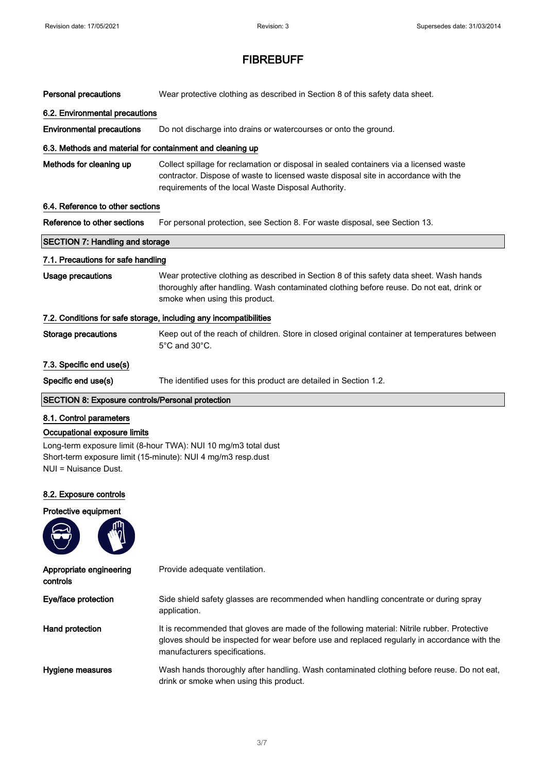| <b>Personal precautions</b>                               | Wear protective clothing as described in Section 8 of this safety data sheet.                                                                                                                                                        |  |
|-----------------------------------------------------------|--------------------------------------------------------------------------------------------------------------------------------------------------------------------------------------------------------------------------------------|--|
| 6.2. Environmental precautions                            |                                                                                                                                                                                                                                      |  |
| <b>Environmental precautions</b>                          | Do not discharge into drains or watercourses or onto the ground.                                                                                                                                                                     |  |
| 6.3. Methods and material for containment and cleaning up |                                                                                                                                                                                                                                      |  |
| Methods for cleaning up                                   | Collect spillage for reclamation or disposal in sealed containers via a licensed waste<br>contractor. Dispose of waste to licensed waste disposal site in accordance with the<br>requirements of the local Waste Disposal Authority. |  |
| 6.4. Reference to other sections                          |                                                                                                                                                                                                                                      |  |
| Reference to other sections                               | For personal protection, see Section 8. For waste disposal, see Section 13.                                                                                                                                                          |  |
| <b>SECTION 7: Handling and storage</b>                    |                                                                                                                                                                                                                                      |  |
| 7.1. Precautions for safe handling                        |                                                                                                                                                                                                                                      |  |
| <b>Usage precautions</b>                                  | Wear protective clothing as described in Section 8 of this safety data sheet. Wash hands<br>thoroughly after handling. Wash contaminated clothing before reuse. Do not eat, drink or<br>smoke when using this product.               |  |
|                                                           | 7.2. Conditions for safe storage, including any incompatibilities                                                                                                                                                                    |  |
| <b>Storage precautions</b>                                | Keep out of the reach of children. Store in closed original container at temperatures between<br>5°C and 30°C.                                                                                                                       |  |
| 7.3. Specific end use(s)                                  |                                                                                                                                                                                                                                      |  |
| Specific end use(s)                                       | The identified uses for this product are detailed in Section 1.2.                                                                                                                                                                    |  |
|                                                           |                                                                                                                                                                                                                                      |  |
| <b>SECTION 8: Exposure controls/Personal protection</b>   |                                                                                                                                                                                                                                      |  |
| 8.1. Control parameters                                   |                                                                                                                                                                                                                                      |  |
| Occupational exposure limits<br>NUI = Nuisance Dust.      | Long-term exposure limit (8-hour TWA): NUI 10 mg/m3 total dust<br>Short-term exposure limit (15-minute): NUI 4 mg/m3 resp.dust                                                                                                       |  |
| 8.2. Exposure controls                                    |                                                                                                                                                                                                                                      |  |
| Protective equipment                                      |                                                                                                                                                                                                                                      |  |
|                                                           |                                                                                                                                                                                                                                      |  |
| Appropriate engineering<br>controls                       | Provide adequate ventilation.                                                                                                                                                                                                        |  |
| Eye/face protection                                       | Side shield safety glasses are recommended when handling concentrate or during spray<br>application.                                                                                                                                 |  |
| Hand protection                                           | It is recommended that gloves are made of the following material: Nitrile rubber. Protective<br>gloves should be inspected for wear before use and replaced regularly in accordance with the<br>manufacturers specifications.        |  |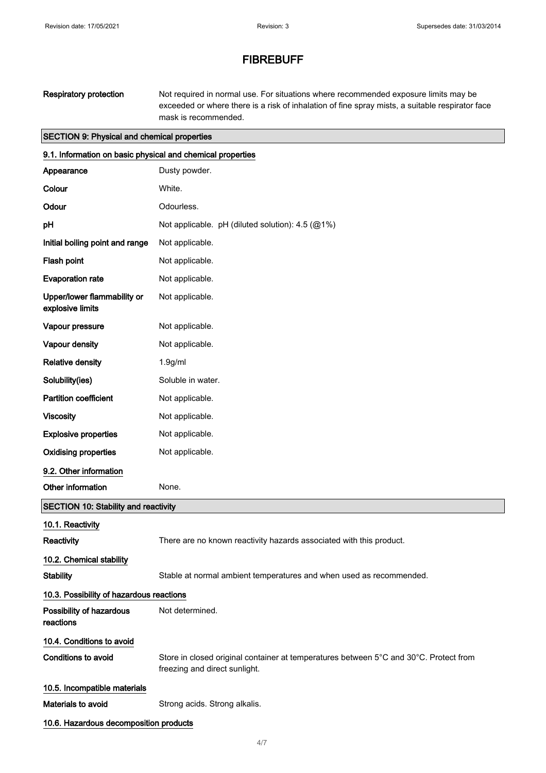| <b>Respiratory protection</b>                              | Not required in normal use. For situations where recommended exposure limits may be<br>exceeded or where there is a risk of inhalation of fine spray mists, a suitable respirator face<br>mask is recommended. |  |
|------------------------------------------------------------|----------------------------------------------------------------------------------------------------------------------------------------------------------------------------------------------------------------|--|
| <b>SECTION 9: Physical and chemical properties</b>         |                                                                                                                                                                                                                |  |
| 9.1. Information on basic physical and chemical properties |                                                                                                                                                                                                                |  |
| Appearance                                                 | Dusty powder.                                                                                                                                                                                                  |  |
| Colour                                                     | White.                                                                                                                                                                                                         |  |
| Odour                                                      | Odourless.                                                                                                                                                                                                     |  |
| pH                                                         | Not applicable. pH (diluted solution): 4.5 (@1%)                                                                                                                                                               |  |
| Initial boiling point and range                            | Not applicable.                                                                                                                                                                                                |  |
| Flash point                                                | Not applicable.                                                                                                                                                                                                |  |
| <b>Evaporation rate</b>                                    | Not applicable.                                                                                                                                                                                                |  |
| Upper/lower flammability or<br>explosive limits            | Not applicable.                                                                                                                                                                                                |  |
| Vapour pressure                                            | Not applicable.                                                                                                                                                                                                |  |
| Vapour density                                             | Not applicable.                                                                                                                                                                                                |  |
| <b>Relative density</b>                                    | 1.9 <sub>g</sub> /ml                                                                                                                                                                                           |  |
| Solubility(ies)                                            | Soluble in water.                                                                                                                                                                                              |  |
| <b>Partition coefficient</b>                               | Not applicable.                                                                                                                                                                                                |  |
| <b>Viscosity</b>                                           | Not applicable.                                                                                                                                                                                                |  |
| <b>Explosive properties</b>                                | Not applicable.                                                                                                                                                                                                |  |
| <b>Oxidising properties</b>                                | Not applicable.                                                                                                                                                                                                |  |
| 9.2. Other information                                     |                                                                                                                                                                                                                |  |

# Other information None. SECTION 10: Stability and reactivity

| 10.1. Reactivity                         |                                                                                                                        |
|------------------------------------------|------------------------------------------------------------------------------------------------------------------------|
| Reactivity                               | There are no known reactivity hazards associated with this product.                                                    |
| 10.2. Chemical stability                 |                                                                                                                        |
| <b>Stability</b>                         | Stable at normal ambient temperatures and when used as recommended.                                                    |
| 10.3. Possibility of hazardous reactions |                                                                                                                        |
| Possibility of hazardous<br>reactions    | Not determined.                                                                                                        |
| 10.4. Conditions to avoid                |                                                                                                                        |
| Conditions to avoid                      | Store in closed original container at temperatures between 5°C and 30°C. Protect from<br>freezing and direct sunlight. |
| 10.5. Incompatible materials             |                                                                                                                        |
| Materials to avoid                       | Strong acids. Strong alkalis.                                                                                          |
| 10.6. Hazardous decomposition products   |                                                                                                                        |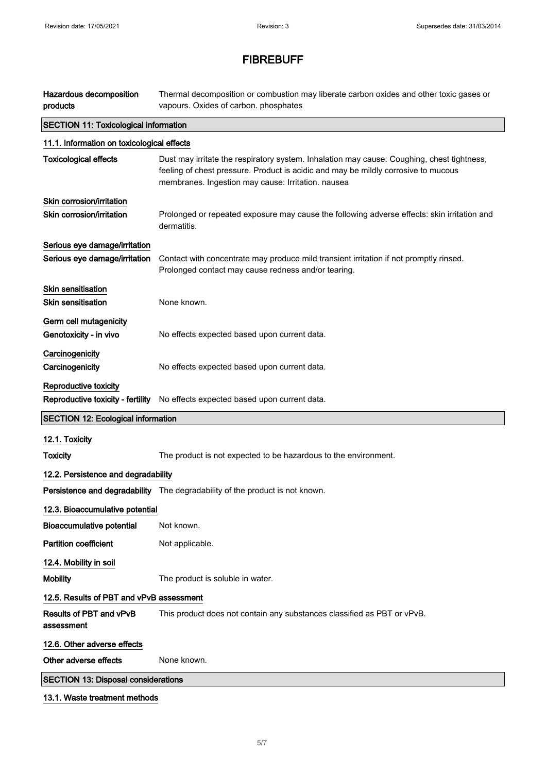| Hazardous decomposition<br>products          | Thermal decomposition or combustion may liberate carbon oxides and other toxic gases or<br>vapours. Oxides of carbon. phosphates                                                                                                       |
|----------------------------------------------|----------------------------------------------------------------------------------------------------------------------------------------------------------------------------------------------------------------------------------------|
| <b>SECTION 11: Toxicological information</b> |                                                                                                                                                                                                                                        |
| 11.1. Information on toxicological effects   |                                                                                                                                                                                                                                        |
| <b>Toxicological effects</b>                 | Dust may irritate the respiratory system. Inhalation may cause: Coughing, chest tightness,<br>feeling of chest pressure. Product is acidic and may be mildly corrosive to mucous<br>membranes. Ingestion may cause: Irritation. nausea |
| Skin corrosion/irritation                    |                                                                                                                                                                                                                                        |
| Skin corrosion/irritation                    | Prolonged or repeated exposure may cause the following adverse effects: skin irritation and<br>dermatitis.                                                                                                                             |
| Serious eye damage/irritation                |                                                                                                                                                                                                                                        |
| Serious eye damage/irritation                | Contact with concentrate may produce mild transient irritation if not promptly rinsed.<br>Prolonged contact may cause redness and/or tearing.                                                                                          |
| <b>Skin sensitisation</b>                    |                                                                                                                                                                                                                                        |
| <b>Skin sensitisation</b>                    | None known.                                                                                                                                                                                                                            |
| Germ cell mutagenicity                       |                                                                                                                                                                                                                                        |
| Genotoxicity - in vivo                       | No effects expected based upon current data.                                                                                                                                                                                           |
| Carcinogenicity<br>Carcinogenicity           | No effects expected based upon current data.                                                                                                                                                                                           |
| Reproductive toxicity                        |                                                                                                                                                                                                                                        |
| Reproductive toxicity - fertility            | No effects expected based upon current data.                                                                                                                                                                                           |
| <b>SECTION 12: Ecological information</b>    |                                                                                                                                                                                                                                        |
| 12.1. Toxicity                               |                                                                                                                                                                                                                                        |
| <b>Toxicity</b>                              | The product is not expected to be hazardous to the environment.                                                                                                                                                                        |
| 12.2. Persistence and degradability          |                                                                                                                                                                                                                                        |
|                                              | Persistence and degradability The degradability of the product is not known.                                                                                                                                                           |
| 12.3. Bioaccumulative potential              |                                                                                                                                                                                                                                        |
| <b>Bioaccumulative potential</b>             | Not known.                                                                                                                                                                                                                             |
| <b>Partition coefficient</b>                 | Not applicable.                                                                                                                                                                                                                        |
| 12.4. Mobility in soil                       |                                                                                                                                                                                                                                        |
| <b>Mobility</b>                              | The product is soluble in water.                                                                                                                                                                                                       |
| 12.5. Results of PBT and vPvB assessment     |                                                                                                                                                                                                                                        |
| Results of PBT and vPvB<br>assessment        | This product does not contain any substances classified as PBT or vPvB.                                                                                                                                                                |
| 12.6. Other adverse effects                  |                                                                                                                                                                                                                                        |
| Other adverse effects                        | None known.                                                                                                                                                                                                                            |
| <b>SECTION 13: Disposal considerations</b>   |                                                                                                                                                                                                                                        |
| 13.1. Waste treatment methods                |                                                                                                                                                                                                                                        |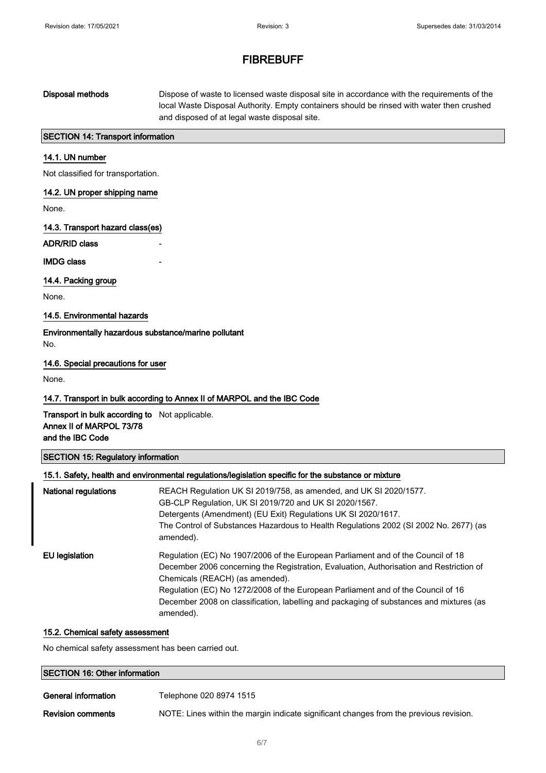| Disposal methods | Dispose of waste to licensed waste disposal site in accordance with the requirements of the |
|------------------|---------------------------------------------------------------------------------------------|
|                  | local Waste Disposal Authority. Empty containers should be rinsed with water then crushed   |
|                  | and disposed of at legal waste disposal site.                                               |

### SECTION 14: Transport information

### 14.1. UN number

Not classified for transportation.

### 14.2. UN proper shipping name

None.

14.3. Transport hazard class(es)

ADR/RID class

**IMDG class** 

#### 14.4. Packing group

None.

#### 14.5. Environmental hazards

Environmentally hazardous substance/marine pollutant No.

#### 14.6. Special precautions for user

None.

### 14.7. Transport in bulk according to Annex II of MARPOL and the IBC Code

Transport in bulk according to Not applicable. Annex II of MARPOL 73/78 and the IBC Code

### SECTION 15: Regulatory information

|                             | 15.1. Safety, health and environmental regulations/legislation specific for the substance or mixture                                                                                                                                                                                                                                                                                                       |
|-----------------------------|------------------------------------------------------------------------------------------------------------------------------------------------------------------------------------------------------------------------------------------------------------------------------------------------------------------------------------------------------------------------------------------------------------|
| <b>National regulations</b> | REACH Regulation UK SI 2019/758, as amended, and UK SI 2020/1577.<br>GB-CLP Regulation, UK SI 2019/720 and UK SI 2020/1567.<br>Detergents (Amendment) (EU Exit) Regulations UK SI 2020/1617.<br>The Control of Substances Hazardous to Health Regulations 2002 (SI 2002 No. 2677) (as<br>amended).                                                                                                         |
| EU legislation              | Regulation (EC) No 1907/2006 of the European Parliament and of the Council of 18<br>December 2006 concerning the Registration, Evaluation, Authorisation and Restriction of<br>Chemicals (REACH) (as amended).<br>Regulation (EC) No 1272/2008 of the European Parliament and of the Council of 16<br>December 2008 on classification, labelling and packaging of substances and mixtures (as<br>amended). |

### 15.2. Chemical safety assessment

No chemical safety assessment has been carried out.

| <b>SECTION 16: Other information</b> |                         |
|--------------------------------------|-------------------------|
| General information                  | Telephone 020 8974 1515 |

Revision comments NOTE: Lines within the margin indicate significant changes from the previous revision.